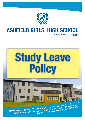

## **Ashfield Girls' High School**

**A Specialist School for ICT**

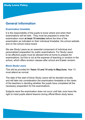#### **General information**

#### **Examination timetable**

It is the responsibility of the pupils to know where and when their examinations will be held. They must be prepared to enter the examination room **at least 15 minutes** before the time of the examination as indicated on their individual timetable, the school website and on the school notice board

We see Study Leave as an essential component of individual and personalised preparation for public examinations. For Study Leave to be effective pupils must be allowed time at home to prepare for examinations, but this is not at the expense of teaching or revision in the school, which offers revision classes after school and Easter revision

#### **Block Study Leave**

This will be provided for **Years 12 and 14 only in May/June.** Year 13 must attend as normal.

The date of the start of block Study Leave will be decided annually and will take into consideration the examination timetable or the views of the teachers in deciding whether the pupils have completed all the necessary preparation for the examinations.

Subjects were the examination does not occur until late June have the right to insist pupils attend lessons during official Block study leave.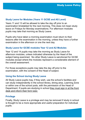#### **Study Leave for Modules (Years 11 GCSE and AS Level)**

Years 11 and 13 will be allowed to take the day off prior to an examination timetabled for the next morning. This does not mean study leave on Fridays for Monday examinations. For afternoon modules pupils may take that morning as Study Leave.

Pupils who have taken a morning examination must return to their lessons after the examination in the morning, unless they have a further examination in the afternoon or one the next day.

#### **Study Leave for GCSE modules Year 12 and A2 Modules**

Year 12 and 14 pupils may take the morning as Study Leave for afternoon modules, unless indicated otherwise by the Head of the subject being examined. No other Study Leave is sanctioned for GCSE modules except where the modules represent a considerable element of the overall assessment.

For those exceptions pupils may take the day off prior to the examination, with the consent of the Head of subject.

#### **Using the School during Study Leave**

All Study Leave pupils may, if they wish, use the school's facilities and can study independently in the school library, dining area, Learning Zone or within one of the school pods, with the permission of the Head of Department. If pupils are studying in school they must sign in at the front desk and inform their form tutor.

#### **Privilege**

Finally, Study Leave is a privilege and may be removed if study in school is thought to be a more appropriate and useful preparation for individual pupils.